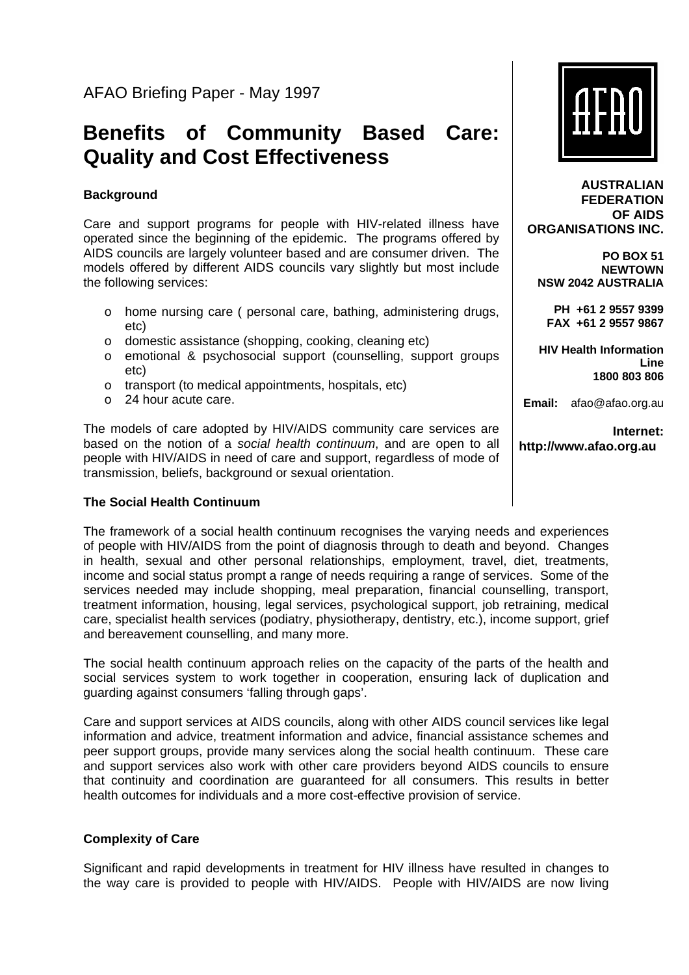# **Benefits of Community Based Care: Quality and Cost Effectiveness**

# **Background**

Care and support programs for people with HIV-related illness have operated since the beginning of the epidemic. The programs offered by AIDS councils are largely volunteer based and are consumer driven. The models offered by different AIDS councils vary slightly but most include the following services:

- o home nursing care ( personal care, bathing, administering drugs, etc)
- o domestic assistance (shopping, cooking, cleaning etc)
- o emotional & psychosocial support (counselling, support groups etc)
- o transport (to medical appointments, hospitals, etc)
- o 24 hour acute care.

The models of care adopted by HIV/AIDS community care services are based on the notion of a *social health continuum*, and are open to all people with HIV/AIDS in need of care and support, regardless of mode of transmission, beliefs, background or sexual orientation.

## **The Social Health Continuum**

The framework of a social health continuum recognises the varying needs and experiences of people with HIV/AIDS from the point of diagnosis through to death and beyond. Changes in health, sexual and other personal relationships, employment, travel, diet, treatments, income and social status prompt a range of needs requiring a range of services. Some of the services needed may include shopping, meal preparation, financial counselling, transport, treatment information, housing, legal services, psychological support, job retraining, medical care, specialist health services (podiatry, physiotherapy, dentistry, etc.), income support, grief and bereavement counselling, and many more.

The social health continuum approach relies on the capacity of the parts of the health and social services system to work together in cooperation, ensuring lack of duplication and guarding against consumers 'falling through gaps'.

Care and support services at AIDS councils, along with other AIDS council services like legal information and advice, treatment information and advice, financial assistance schemes and peer support groups, provide many services along the social health continuum. These care and support services also work with other care providers beyond AIDS councils to ensure that continuity and coordination are guaranteed for all consumers. This results in better health outcomes for individuals and a more cost-effective provision of service.

## **Complexity of Care**

Significant and rapid developments in treatment for HIV illness have resulted in changes to the way care is provided to people with HIV/AIDS. People with HIV/AIDS are now living



**AUSTRALIAN FEDERATION OF AIDS ORGANISATIONS INC.**

**PO BOX 51 NEWTOWN NSW 2042 AUSTRALIA** 

**PH +61 2 9557 9399 FAX +61 2 9557 9867** 

**HIV Health Information Line 1800 803 806**

**Email:** afao@afao.org.au

**Internet: http://www.afao.org.au**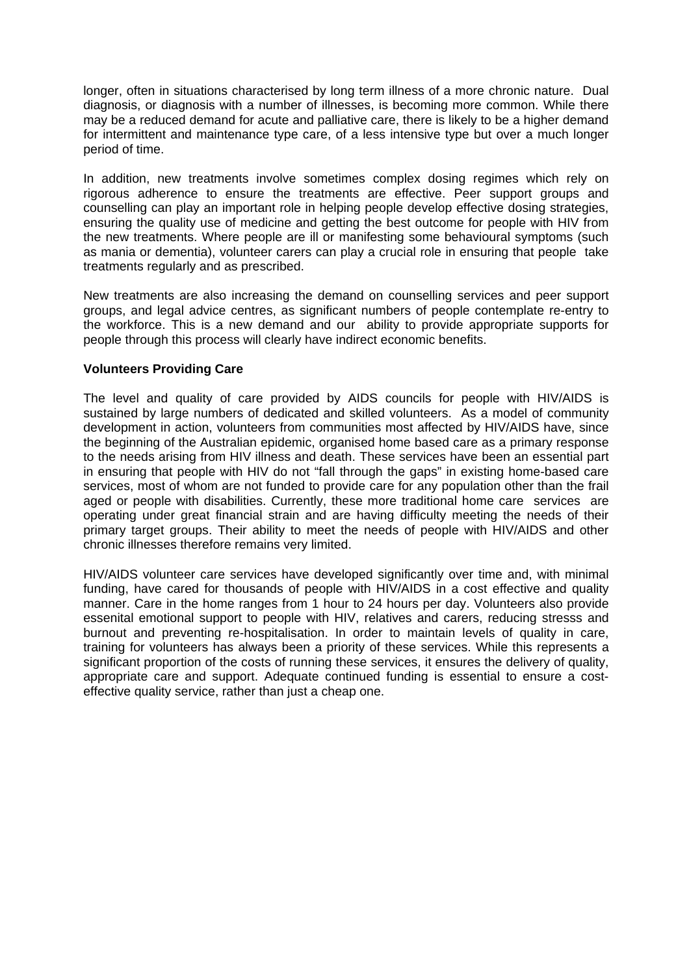longer, often in situations characterised by long term illness of a more chronic nature. Dual diagnosis, or diagnosis with a number of illnesses, is becoming more common. While there may be a reduced demand for acute and palliative care, there is likely to be a higher demand for intermittent and maintenance type care, of a less intensive type but over a much longer period of time.

In addition, new treatments involve sometimes complex dosing regimes which rely on rigorous adherence to ensure the treatments are effective. Peer support groups and counselling can play an important role in helping people develop effective dosing strategies, ensuring the quality use of medicine and getting the best outcome for people with HIV from the new treatments. Where people are ill or manifesting some behavioural symptoms (such as mania or dementia), volunteer carers can play a crucial role in ensuring that people take treatments regularly and as prescribed.

New treatments are also increasing the demand on counselling services and peer support groups, and legal advice centres, as significant numbers of people contemplate re-entry to the workforce. This is a new demand and our ability to provide appropriate supports for people through this process will clearly have indirect economic benefits.

#### **Volunteers Providing Care**

The level and quality of care provided by AIDS councils for people with HIV/AIDS is sustained by large numbers of dedicated and skilled volunteers. As a model of community development in action, volunteers from communities most affected by HIV/AIDS have, since the beginning of the Australian epidemic, organised home based care as a primary response to the needs arising from HIV illness and death. These services have been an essential part in ensuring that people with HIV do not "fall through the gaps" in existing home-based care services, most of whom are not funded to provide care for any population other than the frail aged or people with disabilities. Currently, these more traditional home care services are operating under great financial strain and are having difficulty meeting the needs of their primary target groups. Their ability to meet the needs of people with HIV/AIDS and other chronic illnesses therefore remains very limited.

HIV/AIDS volunteer care services have developed significantly over time and, with minimal funding, have cared for thousands of people with HIV/AIDS in a cost effective and quality manner. Care in the home ranges from 1 hour to 24 hours per day. Volunteers also provide essenital emotional support to people with HIV, relatives and carers, reducing stresss and burnout and preventing re-hospitalisation. In order to maintain levels of quality in care, training for volunteers has always been a priority of these services. While this represents a significant proportion of the costs of running these services, it ensures the delivery of quality, appropriate care and support. Adequate continued funding is essential to ensure a costeffective quality service, rather than just a cheap one.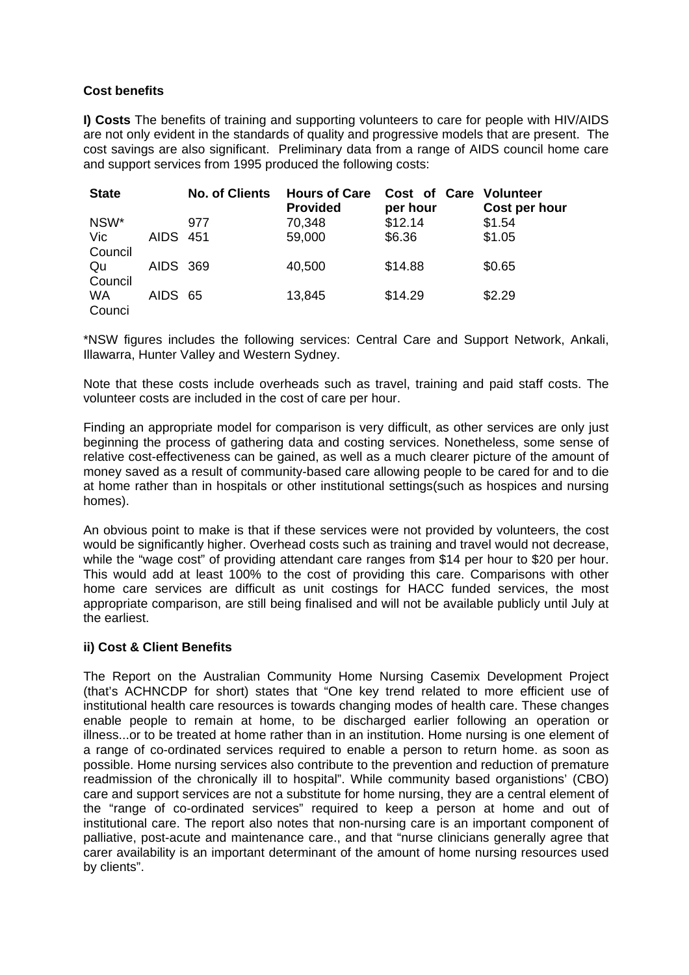# **Cost benefits**

**I) Costs** The benefits of training and supporting volunteers to care for people with HIV/AIDS are not only evident in the standards of quality and progressive models that are present. The cost savings are also significant. Preliminary data from a range of AIDS council home care and support services from 1995 produced the following costs:

| <b>State</b>        |          | <b>No. of Clients</b> | <b>Hours of Care</b><br><b>Provided</b> | Cost of Care Volunteer<br>per hour | Cost per hour |
|---------------------|----------|-----------------------|-----------------------------------------|------------------------------------|---------------|
| NSW*                |          | 977                   | 70,348                                  | \$12.14                            | \$1.54        |
| Vic.<br>Council     | AIDS 451 |                       | 59,000                                  | \$6.36                             | \$1.05        |
| Qu<br>Council       | AIDS 369 |                       | 40,500                                  | \$14.88                            | \$0.65        |
| <b>WA</b><br>Counci | AIDS 65  |                       | 13,845                                  | \$14.29                            | \$2.29        |

\*NSW figures includes the following services: Central Care and Support Network, Ankali, Illawarra, Hunter Valley and Western Sydney.

Note that these costs include overheads such as travel, training and paid staff costs. The volunteer costs are included in the cost of care per hour.

Finding an appropriate model for comparison is very difficult, as other services are only just beginning the process of gathering data and costing services. Nonetheless, some sense of relative cost-effectiveness can be gained, as well as a much clearer picture of the amount of money saved as a result of community-based care allowing people to be cared for and to die at home rather than in hospitals or other institutional settings(such as hospices and nursing homes).

An obvious point to make is that if these services were not provided by volunteers, the cost would be significantly higher. Overhead costs such as training and travel would not decrease, while the "wage cost" of providing attendant care ranges from \$14 per hour to \$20 per hour. This would add at least 100% to the cost of providing this care. Comparisons with other home care services are difficult as unit costings for HACC funded services, the most appropriate comparison, are still being finalised and will not be available publicly until July at the earliest.

## **ii) Cost & Client Benefits**

The Report on the Australian Community Home Nursing Casemix Development Project (that's ACHNCDP for short) states that "One key trend related to more efficient use of institutional health care resources is towards changing modes of health care. These changes enable people to remain at home, to be discharged earlier following an operation or illness...or to be treated at home rather than in an institution. Home nursing is one element of a range of co-ordinated services required to enable a person to return home. as soon as possible. Home nursing services also contribute to the prevention and reduction of premature readmission of the chronically ill to hospital". While community based organistions' (CBO) care and support services are not a substitute for home nursing, they are a central element of the "range of co-ordinated services" required to keep a person at home and out of institutional care. The report also notes that non-nursing care is an important component of palliative, post-acute and maintenance care., and that "nurse clinicians generally agree that carer availability is an important determinant of the amount of home nursing resources used by clients".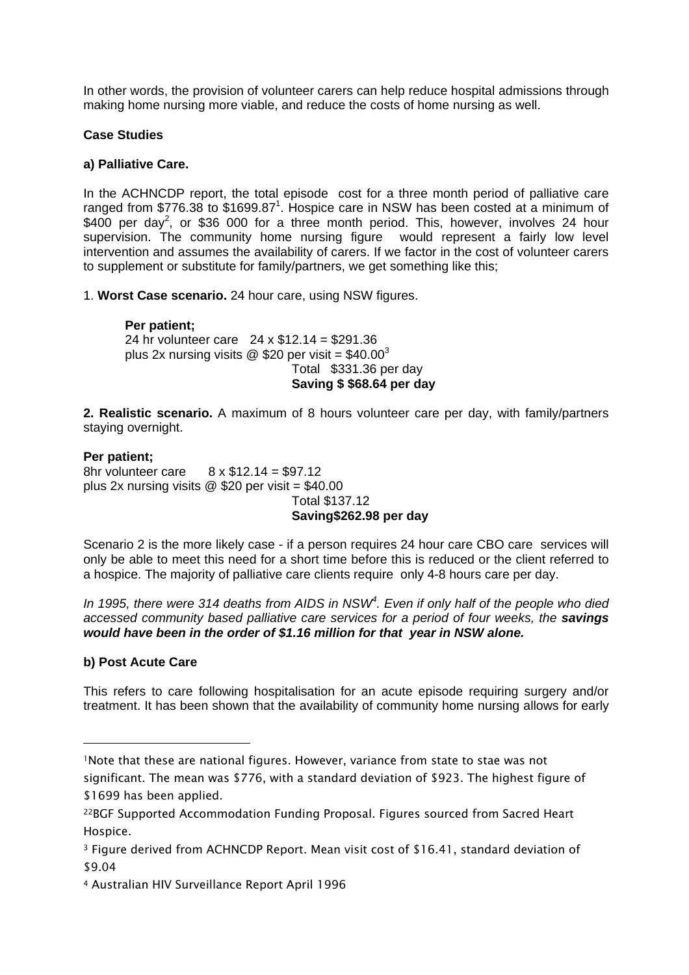In other words, the provision of volunteer carers can help reduce hospital admissions through making home nursing more viable, and reduce the costs of home nursing as well.

#### **Case Studies**

#### **a) Palliative Care.**

In the ACHNCDP report, the total episode cost for a three month period of palliative care ranged from \$776.38 to \$[1](#page-3-0)699.87<sup>1</sup>. Hospice care in NSW has been costed at a minimum of \$400 per day<sup>[2](#page-3-1)</sup>, or \$36 000 for a three month period. This, however, involves 24 hour supervision. The community home nursing figure would represent a fairly low level intervention and assumes the availability of carers. If we factor in the cost of volunteer carers to supplement or substitute for family/partners, we get something like this;

1. **Worst Case scenario.** 24 hour care, using NSW figures.

# **Per patient;** 24 hr volunteer care 24 x \$12.14 = \$291.36 plus 2x nursing visits  $\omega$  \$20 per visit = \$40.00<sup>[3](#page-3-2)</sup> Total \$331.36 per day **Saving \$ \$68.64 per day**

**2. Realistic scenario.** A maximum of 8 hours volunteer care per day, with family/partners staying overnight.

## **Per patient;**

8hr volunteer care 8 x \$12.14 = \$97.12 plus 2x nursing visits  $@$  \$20 per visit = \$40.00 Total \$137.12

# **Saving\$262.98 per day**

Scenario 2 is the more likely case - if a person requires 24 hour care CBO care services will only be able to meet this need for a short time before this is reduced or the client referred to a hospice. The majority of palliative care clients require only 4-8 hours care per day.

*In 1995, there were 314 deaths from AIDS in NSW[4](#page-3-3) . Even if only half of the people who died accessed community based palliative care services for a period of four weeks, the savings would have been in the order of \$1.16 million for that year in NSW alone.* 

## **b) Post Acute Care**

This refers to care following hospitalisation for an acute episode requiring surgery and/or treatment. It has been shown that the availability of community home nursing allows for early

<span id="page-3-0"></span><sup>1</sup>Note that these are national figures. However, variance from state to stae was not significant. The mean was \$776, with a standard deviation of \$923. The highest figure of \$1699 has been applied.

<span id="page-3-1"></span><sup>22</sup>BGF Supported Accommodation Funding Proposal. Figures sourced from Sacred Heart Hospice.

<span id="page-3-2"></span><sup>3</sup> Figure derived from ACHNCDP Report. Mean visit cost of \$16.41, standard deviation of \$9.04

<span id="page-3-3"></span><sup>4</sup> Australian HIV Surveillance Report April 1996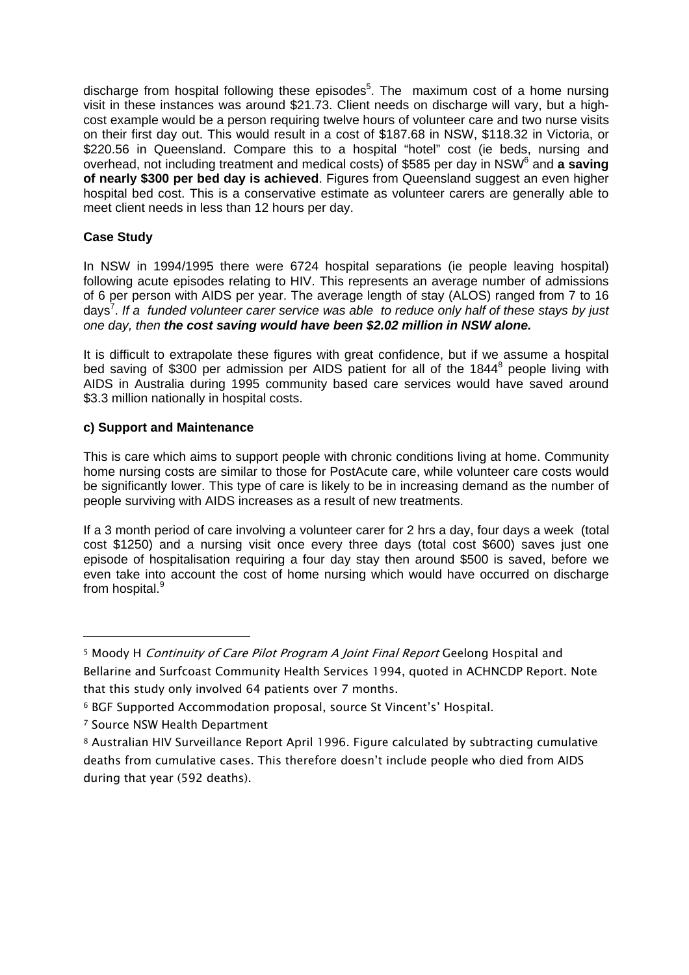discharge from hospital following these episodes<sup>[5](#page-4-0)</sup>. The maximum cost of a home nursing visit in these instances was around \$21.73. Client needs on discharge will vary, but a highcost example would be a person requiring twelve hours of volunteer care and two nurse visits on their first day out. This would result in a cost of \$187.68 in NSW, \$118.32 in Victoria, or \$220.56 in Queensland. Compare this to a hospital "hotel" cost (ie beds, nursing and overhead, not including treatment and medical costs) of \$585 per day in NSW<sup>[6](#page-4-1)</sup> and **a saving of nearly \$300 per bed day is achieved**. Figures from Queensland suggest an even higher hospital bed cost. This is a conservative estimate as volunteer carers are generally able to meet client needs in less than 12 hours per day.

# **Case Study**

In NSW in 1994/1995 there were 6724 hospital separations (ie people leaving hospital) following acute episodes relating to HIV. This represents an average number of admissions of 6 per person with AIDS per year. The average length of stay (ALOS) ranged from 7 to 16 days<sup>[7](#page-4-2)</sup>. If a funded volunteer carer service was able to reduce only half of these stays by just *one day, then the cost saving would have been \$2.02 million in NSW alone.* 

It is difficult to extrapolate these figures with great confidence, but if we assume a hospital bed saving of \$300 per admission per AIDS patient for all of the 1[8](#page-4-3)44<sup>8</sup> people living with AIDS in Australia during 1995 community based care services would have saved around \$3.3 million nationally in hospital costs.

# **c) Support and Maintenance**

This is care which aims to support people with chronic conditions living at home. Community home nursing costs are similar to those for PostAcute care, while volunteer care costs would be significantly lower. This type of care is likely to be in increasing demand as the number of people surviving with AIDS increases as a result of new treatments.

If a 3 month period of care involving a volunteer carer for 2 hrs a day, four days a week (total cost \$1250) and a nursing visit once every three days (total cost \$600) saves just one episode of hospitalisation requiring a four day stay then around \$500 is saved, before we even take into account the cost of home nursing which would have occurred on discharge from hospital.<sup>[9](#page-4-4)</sup>

<span id="page-4-0"></span><sup>&</sup>lt;sup>5</sup> Moody H *Continuity of Care Pilot Program A Joint Final Report* Geelong Hospital and Bellarine and Surfcoast Community Health Services 1994, quoted in ACHNCDP Report. Note that this study only involved 64 patients over 7 months.

<span id="page-4-1"></span><sup>6</sup> BGF Supported Accommodation proposal, source St Vincent's' Hospital.

<span id="page-4-2"></span><sup>7</sup> Source NSW Health Department

<span id="page-4-4"></span><span id="page-4-3"></span><sup>8</sup> Australian HIV Surveillance Report April 1996. Figure calculated by subtracting cumulative deaths from cumulative cases. This therefore doesn't include people who died from AIDS during that year (592 deaths).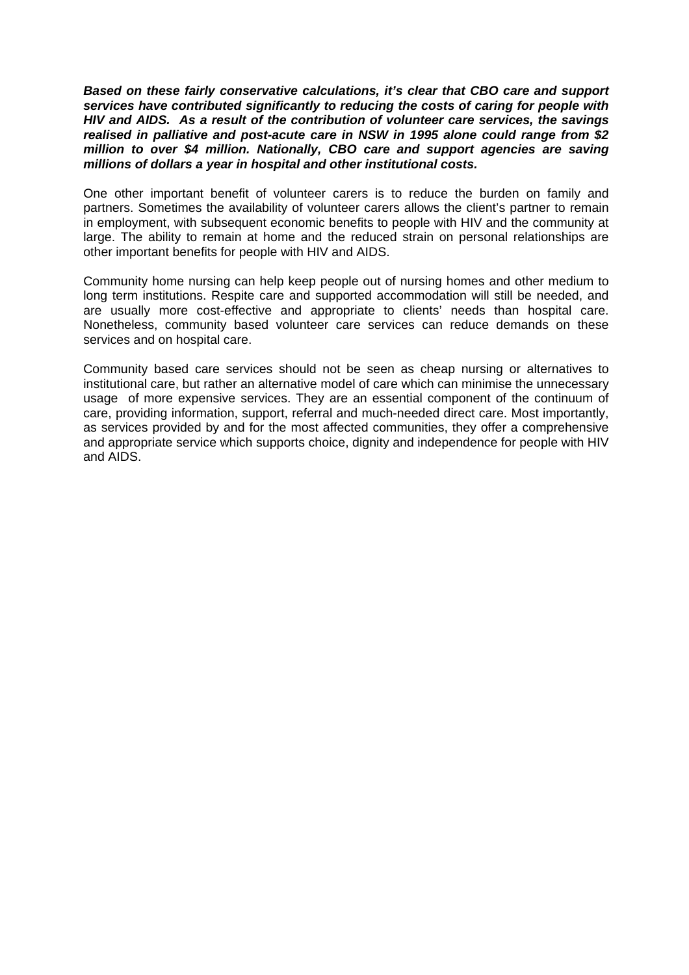*Based on these fairly conservative calculations, it's clear that CBO care and support services have contributed significantly to reducing the costs of caring for people with HIV and AIDS. As a result of the contribution of volunteer care services, the savings realised in palliative and post-acute care in NSW in 1995 alone could range from \$2 million to over \$4 million. Nationally, CBO care and support agencies are saving millions of dollars a year in hospital and other institutional costs.* 

One other important benefit of volunteer carers is to reduce the burden on family and partners. Sometimes the availability of volunteer carers allows the client's partner to remain in employment, with subsequent economic benefits to people with HIV and the community at large. The ability to remain at home and the reduced strain on personal relationships are other important benefits for people with HIV and AIDS.

Community home nursing can help keep people out of nursing homes and other medium to long term institutions. Respite care and supported accommodation will still be needed, and are usually more cost-effective and appropriate to clients' needs than hospital care. Nonetheless, community based volunteer care services can reduce demands on these services and on hospital care.

Community based care services should not be seen as cheap nursing or alternatives to institutional care, but rather an alternative model of care which can minimise the unnecessary usage of more expensive services. They are an essential component of the continuum of care, providing information, support, referral and much-needed direct care. Most importantly, as services provided by and for the most affected communities, they offer a comprehensive and appropriate service which supports choice, dignity and independence for people with HIV and AIDS.